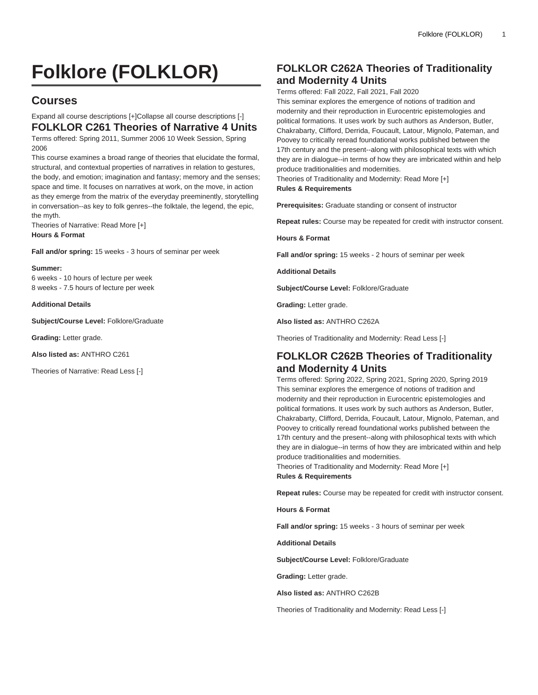# **Folklore (FOLKLOR)**

# **Courses**

Expand all course descriptions [+]Collapse all course descriptions [-] **FOLKLOR C261 Theories of Narrative 4 Units** Terms offered: Spring 2011, Summer 2006 10 Week Session, Spring

2006 This course examines a broad range of theories that elucidate the formal, structural, and contextual properties of narratives in relation to gestures, the body, and emotion; imagination and fantasy; memory and the senses; space and time. It focuses on narratives at work, on the move, in action as they emerge from the matrix of the everyday preeminently, storytelling in conversation--as key to folk genres--the folktale, the legend, the epic, the myth.

Theories of Narrative: Read More [+] **Hours & Format**

**Fall and/or spring:** 15 weeks - 3 hours of seminar per week

#### **Summer:**

6 weeks - 10 hours of lecture per week 8 weeks - 7.5 hours of lecture per week

#### **Additional Details**

**Subject/Course Level:** Folklore/Graduate

**Grading:** Letter grade.

**Also listed as:** ANTHRO C261

Theories of Narrative: Read Less [-]

## **FOLKLOR C262A Theories of Traditionality and Modernity 4 Units**

Terms offered: Fall 2022, Fall 2021, Fall 2020

This seminar explores the emergence of notions of tradition and modernity and their reproduction in Eurocentric epistemologies and political formations. It uses work by such authors as Anderson, Butler, Chakrabarty, Clifford, Derrida, Foucault, Latour, Mignolo, Pateman, and Poovey to critically reread foundational works published between the 17th century and the present--along with philosophical texts with which they are in dialogue--in terms of how they are imbricated within and help produce traditionalities and modernities.

Theories of Traditionality and Modernity: Read More [+] **Rules & Requirements**

**Prerequisites:** Graduate standing or consent of instructor

**Repeat rules:** Course may be repeated for credit with instructor consent.

**Hours & Format**

**Fall and/or spring:** 15 weeks - 2 hours of seminar per week

**Additional Details**

**Subject/Course Level:** Folklore/Graduate

**Grading:** Letter grade.

**Also listed as:** ANTHRO C262A

Theories of Traditionality and Modernity: Read Less [-]

## **FOLKLOR C262B Theories of Traditionality and Modernity 4 Units**

Terms offered: Spring 2022, Spring 2021, Spring 2020, Spring 2019 This seminar explores the emergence of notions of tradition and modernity and their reproduction in Eurocentric epistemologies and political formations. It uses work by such authors as Anderson, Butler, Chakrabarty, Clifford, Derrida, Foucault, Latour, Mignolo, Pateman, and Poovey to critically reread foundational works published between the 17th century and the present--along with philosophical texts with which they are in dialogue--in terms of how they are imbricated within and help produce traditionalities and modernities.

Theories of Traditionality and Modernity: Read More [+] **Rules & Requirements**

**Repeat rules:** Course may be repeated for credit with instructor consent.

**Hours & Format**

**Fall and/or spring:** 15 weeks - 3 hours of seminar per week

**Additional Details**

**Subject/Course Level:** Folklore/Graduate

**Grading:** Letter grade.

**Also listed as:** ANTHRO C262B

Theories of Traditionality and Modernity: Read Less [-]